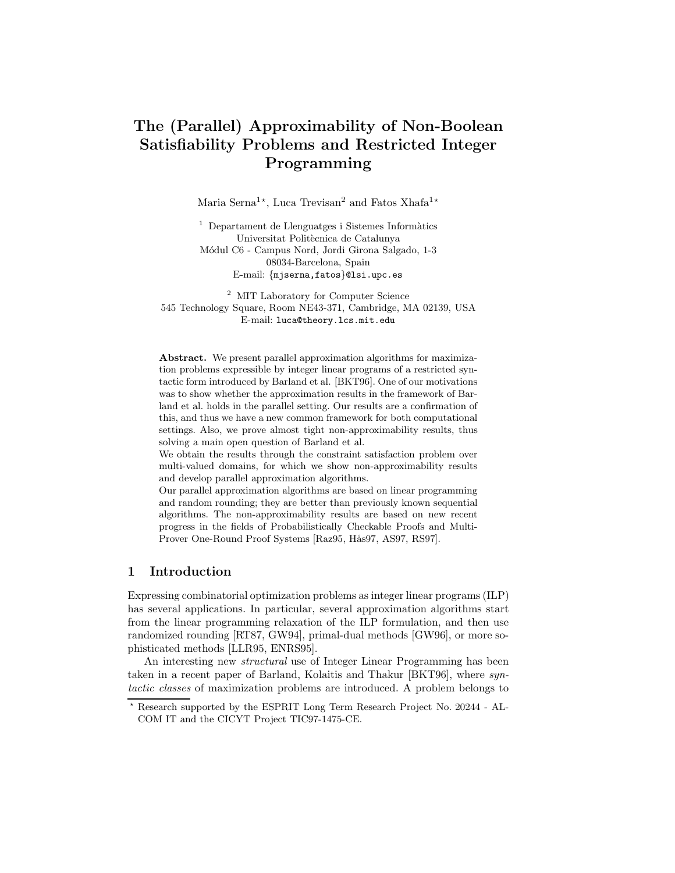# The (Parallel) Approximability of Non-Boolean Satisfiability Problems and Restricted Integer Programming

Maria Serna<sup>1\*</sup>, Luca Trevisan<sup>2</sup> and Fatos Xhafa<sup>1\*</sup>

 $<sup>1</sup>$  Departament de Llenguatges i Sistemes Informàtics</sup> Universitat Politècnica de Catalunya Módul C6 - Campus Nord, Jordi Girona Salgado, 1-3 08034-Barcelona, Spain E-mail: {mjserna,fatos}@lsi.upc.es

<sup>2</sup> MIT Laboratory for Computer Science 545 Technology Square, Room NE43-371, Cambridge, MA 02139, USA E-mail: luca@theory.lcs.mit.edu

Abstract. We present parallel approximation algorithms for maximization problems expressible by integer linear programs of a restricted syntactic form introduced by Barland et al. [BKT96]. One of our motivations was to show whether the approximation results in the framework of Barland et al. holds in the parallel setting. Our results are a confirmation of this, and thus we have a new common framework for both computational settings. Also, we prove almost tight non-approximability results, thus solving a main open question of Barland et al.

We obtain the results through the constraint satisfaction problem over multi-valued domains, for which we show non-approximability results and develop parallel approximation algorithms.

Our parallel approximation algorithms are based on linear programming and random rounding; they are better than previously known sequential algorithms. The non-approximability results are based on new recent progress in the fields of Probabilistically Checkable Proofs and Multi-Prover One-Round Proof Systems [Raz95, Hås97, AS97, RS97].

#### 1 Introduction

Expressing combinatorial optimization problems as integer linear programs (ILP) has several applications. In particular, several approximation algorithms start from the linear programming relaxation of the ILP formulation, and then use randomized rounding [RT87, GW94], primal-dual methods [GW96], or more sophisticated methods [LLR95, ENRS95].

An interesting new *structural* use of Integer Linear Programming has been taken in a recent paper of Barland, Kolaitis and Thakur [BKT96], where *syntactic classes* of maximization problems are introduced. A problem belongs to

<sup>⋆</sup> Research supported by the ESPRIT Long Term Research Project No. 20244 - AL-COM IT and the CICYT Project TIC97-1475-CE.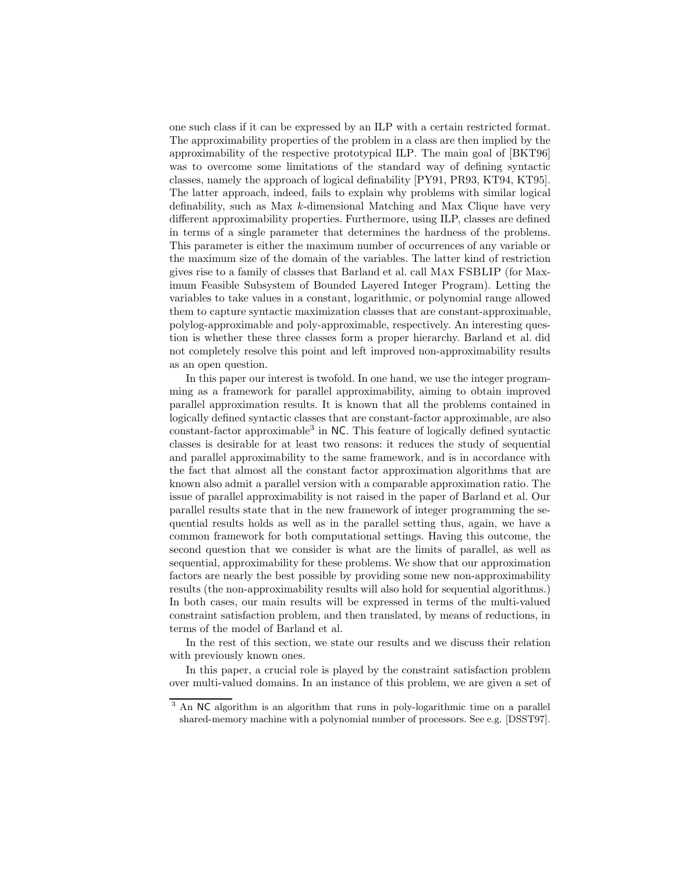one such class if it can be expressed by an ILP with a certain restricted format. The approximability properties of the problem in a class are then implied by the approximability of the respective prototypical ILP. The main goal of [BKT96] was to overcome some limitations of the standard way of defining syntactic classes, namely the approach of logical definability [PY91, PR93, KT94, KT95]. The latter approach, indeed, fails to explain why problems with similar logical definability, such as Max k-dimensional Matching and Max Clique have very different approximability properties. Furthermore, using ILP, classes are defined in terms of a single parameter that determines the hardness of the problems. This parameter is either the maximum number of occurrences of any variable or the maximum size of the domain of the variables. The latter kind of restriction gives rise to a family of classes that Barland et al. call Max FSBLIP (for Maximum Feasible Subsystem of Bounded Layered Integer Program). Letting the variables to take values in a constant, logarithmic, or polynomial range allowed them to capture syntactic maximization classes that are constant-approximable, polylog-approximable and poly-approximable, respectively. An interesting question is whether these three classes form a proper hierarchy. Barland et al. did not completely resolve this point and left improved non-approximability results as an open question.

In this paper our interest is twofold. In one hand, we use the integer programming as a framework for parallel approximability, aiming to obtain improved parallel approximation results. It is known that all the problems contained in logically defined syntactic classes that are constant-factor approximable, are also constant-factor approximable<sup>3</sup> in NC. This feature of logically defined syntactic classes is desirable for at least two reasons: it reduces the study of sequential and parallel approximability to the same framework, and is in accordance with the fact that almost all the constant factor approximation algorithms that are known also admit a parallel version with a comparable approximation ratio. The issue of parallel approximability is not raised in the paper of Barland et al. Our parallel results state that in the new framework of integer programming the sequential results holds as well as in the parallel setting thus, again, we have a common framework for both computational settings. Having this outcome, the second question that we consider is what are the limits of parallel, as well as sequential, approximability for these problems. We show that our approximation factors are nearly the best possible by providing some new non-approximability results (the non-approximability results will also hold for sequential algorithms.) In both cases, our main results will be expressed in terms of the multi-valued constraint satisfaction problem, and then translated, by means of reductions, in terms of the model of Barland et al.

In the rest of this section, we state our results and we discuss their relation with previously known ones.

In this paper, a crucial role is played by the constraint satisfaction problem over multi-valued domains. In an instance of this problem, we are given a set of

<sup>&</sup>lt;sup>3</sup> An NC algorithm is an algorithm that runs in poly-logarithmic time on a parallel shared-memory machine with a polynomial number of processors. See e.g. [DSST97].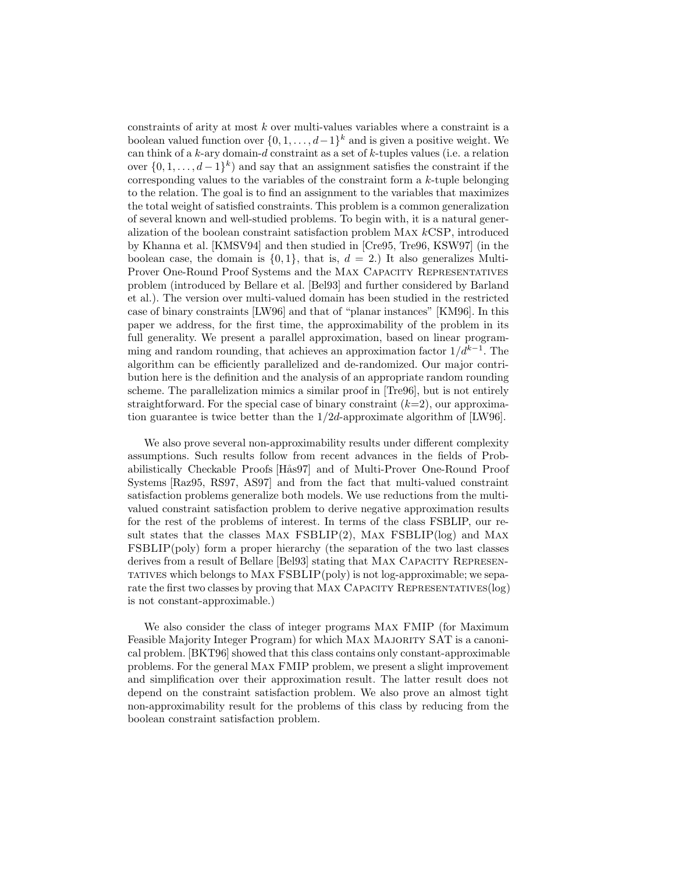constraints of arity at most  $k$  over multi-values variables where a constraint is a boolean valued function over  $\{0, 1, \ldots, d-1\}^k$  and is given a positive weight. We can think of a k-ary domain- $d$  constraint as a set of k-tuples values (i.e. a relation over  $\{0, 1, \ldots, d-1\}^k$  and say that an assignment satisfies the constraint if the corresponding values to the variables of the constraint form a k-tuple belonging to the relation. The goal is to find an assignment to the variables that maximizes the total weight of satisfied constraints. This problem is a common generalization of several known and well-studied problems. To begin with, it is a natural generalization of the boolean constraint satisfaction problem Max kCSP, introduced by Khanna et al. [KMSV94] and then studied in [Cre95, Tre96, KSW97] (in the boolean case, the domain is  $\{0, 1\}$ , that is,  $d = 2$ . It also generalizes Multi-Prover One-Round Proof Systems and the MAX CAPACITY REPRESENTATIVES problem (introduced by Bellare et al. [Bel93] and further considered by Barland et al.). The version over multi-valued domain has been studied in the restricted case of binary constraints [LW96] and that of "planar instances" [KM96]. In this paper we address, for the first time, the approximability of the problem in its full generality. We present a parallel approximation, based on linear programming and random rounding, that achieves an approximation factor  $1/d^{k-1}$ . The algorithm can be efficiently parallelized and de-randomized. Our major contribution here is the definition and the analysis of an appropriate random rounding scheme. The parallelization mimics a similar proof in [Tre96], but is not entirely straightforward. For the special case of binary constraint  $(k=2)$ , our approximation guarantee is twice better than the 1/2d-approximate algorithm of [LW96].

We also prove several non-approximability results under different complexity assumptions. Such results follow from recent advances in the fields of Probabilistically Checkable Proofs [H˚as97] and of Multi-Prover One-Round Proof Systems [Raz95, RS97, AS97] and from the fact that multi-valued constraint satisfaction problems generalize both models. We use reductions from the multivalued constraint satisfaction problem to derive negative approximation results for the rest of the problems of interest. In terms of the class FSBLIP, our result states that the classes MAX  $\text{FSBLIP}(2)$ , MAX  $\text{FSBLIP}(\log)$  and MAX FSBLIP(poly) form a proper hierarchy (the separation of the two last classes derives from a result of Bellare [Bel93] stating that MAX CAPACITY REPRESEN-TATIVES which belongs to MAX  $\text{FSBLIP}(\text{poly})$  is not log-approximable; we separate the first two classes by proving that MAX CAPACITY REPRESENTATIVES(log) is not constant-approximable.)

We also consider the class of integer programs Max FMIP (for Maximum Feasible Majority Integer Program) for which Max Majority SAT is a canonical problem. [BKT96] showed that this class contains only constant-approximable problems. For the general Max FMIP problem, we present a slight improvement and simplification over their approximation result. The latter result does not depend on the constraint satisfaction problem. We also prove an almost tight non-approximability result for the problems of this class by reducing from the boolean constraint satisfaction problem.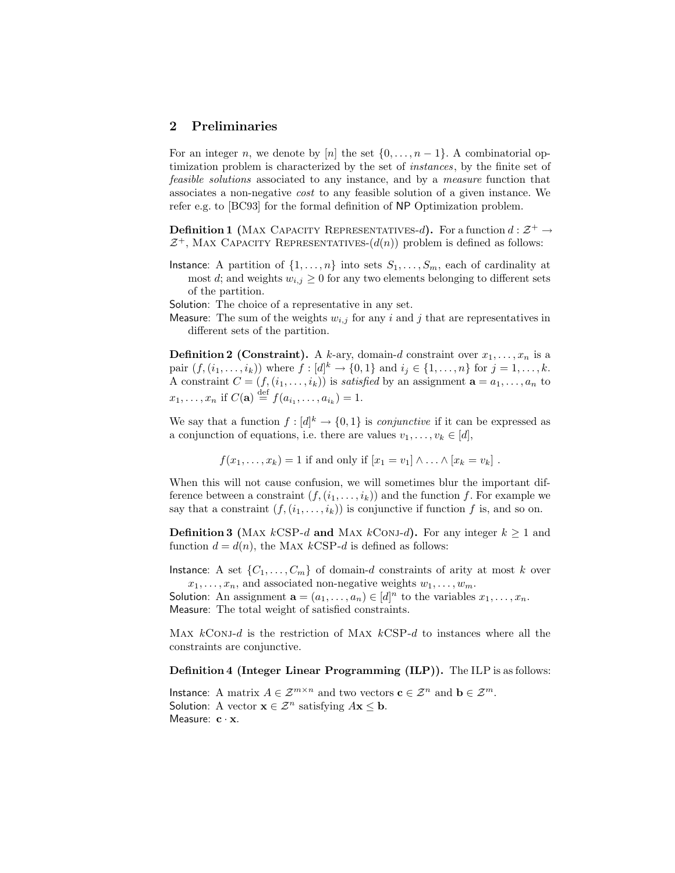## 2 Preliminaries

For an integer n, we denote by [n] the set  $\{0, \ldots, n-1\}$ . A combinatorial optimization problem is characterized by the set of *instances*, by the finite set of *feasible solutions* associated to any instance, and by a *measure* function that associates a non-negative *cost* to any feasible solution of a given instance. We refer e.g. to [BC93] for the formal definition of NP Optimization problem.

**Definition 1** (MAX CAPACITY REPRESENTATIVES-d). For a function  $d : \mathcal{Z}^+ \rightarrow$  $\mathcal{Z}^+$ , MAX CAPACITY REPRESENTATIVES- $(d(n))$  problem is defined as follows:

- Instance: A partition of  $\{1, \ldots, n\}$  into sets  $S_1, \ldots, S_m$ , each of cardinality at most d; and weights  $w_{i,j} \geq 0$  for any two elements belonging to different sets of the partition.
- Solution: The choice of a representative in any set.
- Measure: The sum of the weights  $w_{i,j}$  for any i and j that are representatives in different sets of the partition.

**Definition 2 (Constraint).** A k-ary, domain-d constraint over  $x_1, \ldots, x_n$  is a pair  $(f, (i_1, \ldots, i_k))$  where  $f : [d]^k \to \{0, 1\}$  and  $i_j \in \{1, \ldots, n\}$  for  $j = 1, \ldots, k$ . A constraint  $C = (f, (i_1, \ldots, i_k))$  is *satisfied* by an assignment  $\mathbf{a} = a_1, \ldots, a_n$  to  $x_1, ..., x_n$  if  $C(\mathbf{a}) \stackrel{\text{def}}{=} f(a_{i_1}, ..., a_{i_k}) = 1.$ 

We say that a function  $f : [d]^k \to \{0,1\}$  is *conjunctive* if it can be expressed as a conjunction of equations, i.e. there are values  $v_1, \ldots, v_k \in [d],$ 

 $f(x_1, \ldots, x_k) = 1$  if and only if  $[x_1 = v_1] \wedge \ldots \wedge [x_k = v_k]$ .

When this will not cause confusion, we will sometimes blur the important difference between a constraint  $(f,(i_1,\ldots,i_k))$  and the function f. For example we say that a constraint  $(f,(i_1,\ldots,i_k))$  is conjunctive if function f is, and so on.

**Definition 3** (MAX  $kCSP-d$  and MAX  $kCONJ-d$ ). For any integer  $k \geq 1$  and function  $d = d(n)$ , the MAX  $kCSP-d$  is defined as follows:

Instance: A set  $\{C_1, \ldots, C_m\}$  of domain-d constraints of arity at most k over  $x_1, \ldots, x_n$ , and associated non-negative weights  $w_1, \ldots, w_m$ .

Solution: An assignment  $\mathbf{a} = (a_1, \ldots, a_n) \in [d]^n$  to the variables  $x_1, \ldots, x_n$ . Measure: The total weight of satisfied constraints.

Max  $k$ Conj-d is the restriction of Max  $k$ CSP-d to instances where all the constraints are conjunctive.

Definition 4 (Integer Linear Programming (ILP)). The ILP is as follows:

Instance: A matrix  $A \in \mathcal{Z}^{m \times n}$  and two vectors  $\mathbf{c} \in \mathcal{Z}^n$  and  $\mathbf{b} \in \mathcal{Z}^m$ . Solution: A vector  $\mathbf{x} \in \mathcal{Z}^n$  satisfying  $A\mathbf{x} \leq \mathbf{b}$ . Measure:  $\mathbf{c} \cdot \mathbf{x}$ .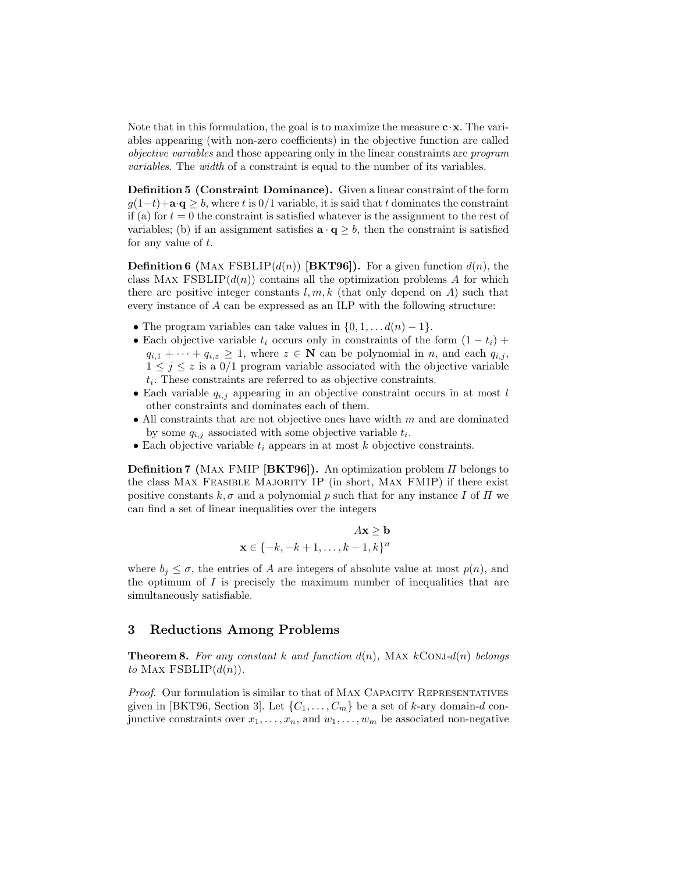Note that in this formulation, the goal is to maximize the measure  $c \cdot x$ . The variables appearing (with non-zero coefficients) in the objective function are called *objective variables* and those appearing only in the linear constraints are *program variables*. The *width* of a constraint is equal to the number of its variables.

Definition 5 (Constraint Dominance). Given a linear constraint of the form  $q(1-t)+\mathbf{a}\cdot\mathbf{q} > b$ , where t is 0/1 variable, it is said that t dominates the constraint if (a) for  $t = 0$  the constraint is satisfied whatever is the assignment to the rest of variables; (b) if an assignment satisfies  $\mathbf{a} \cdot \mathbf{q} \geq b$ , then the constraint is satisfied for any value of  $t$ .

**Definition 6** (MAX FSBLIP( $d(n)$ ) [**BKT96**]). For a given function  $d(n)$ , the class MAX FSBLIP $(d(n))$  contains all the optimization problems A for which there are positive integer constants  $l, m, k$  (that only depend on A) such that every instance of A can be expressed as an ILP with the following structure:

- The program variables can take values in  $\{0, 1, \ldots d(n) 1\}.$
- Each objective variable  $t_i$  occurs only in constraints of the form  $(1 t_i)$  +  $q_{i,1} + \cdots + q_{i,z} \geq 1$ , where  $z \in \mathbb{N}$  can be polynomial in n, and each  $q_{i,j}$ ,  $1 \leq j \leq z$  is a 0/1 program variable associated with the objective variable  $t_i$ . These constraints are referred to as objective constraints.
- Each variable  $q_{i,j}$  appearing in an objective constraint occurs in at most l other constraints and dominates each of them.
- All constraints that are not objective ones have width  $m$  and are dominated by some  $q_{i,j}$  associated with some objective variable  $t_i$ .
- Each objective variable  $t_i$  appears in at most k objective constraints.

**Definition 7** (MAX FMIP [**BKT96**]). An optimization problem  $\Pi$  belongs to the class Max Feasible Majority IP (in short, Max FMIP) if there exist positive constants  $k, \sigma$  and a polynomial p such that for any instance I of  $\Pi$  we can find a set of linear inequalities over the integers

$$
Ax \geq \mathbf{b}
$$

$$
\mathbf{x} \in \{-k, -k+1, \dots, k-1, k\}^n
$$

where  $b_j \leq \sigma$ , the entries of A are integers of absolute value at most  $p(n)$ , and the optimum of  $I$  is precisely the maximum number of inequalities that are simultaneously satisfiable.

### 3 Reductions Among Problems

**Theorem 8.** For any constant k and function  $d(n)$ , MAX  $k$ CONJ- $d(n)$  *belongs to* Max  $\text{FSBLIP}(d(n))$ .

*Proof.* Our formulation is similar to that of MAX CAPACITY REPRESENTATIVES given in [BKT96, Section 3]. Let  $\{C_1, \ldots, C_m\}$  be a set of k-ary domain-d conjunctive constraints over  $x_1, \ldots, x_n$ , and  $w_1, \ldots, w_m$  be associated non-negative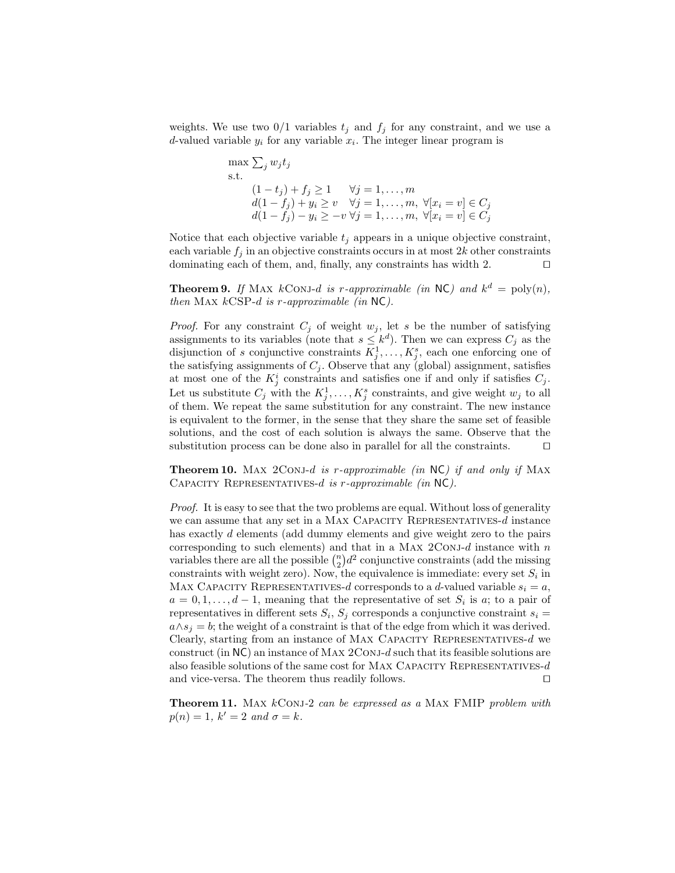weights. We use two  $0/1$  variables  $t_j$  and  $f_j$  for any constraint, and we use a d-valued variable  $y_i$  for any variable  $x_i$ . The integer linear program is

$$
\max \sum_{j} w_j t_j
$$
\ns.t.\n
$$
(1 - t_j) + f_j \ge 1 \quad \forall j = 1, ..., m
$$
\n
$$
d(1 - f_j) + y_i \ge v \quad \forall j = 1, ..., m, \forall [x_i = v] \in C_j
$$
\n
$$
d(1 - f_j) - y_i \ge -v \forall j = 1, ..., m, \forall [x_i = v] \in C_j
$$

Notice that each objective variable  $t_j$  appears in a unique objective constraint, each variable  $f_j$  in an objective constraints occurs in at most 2k other constraints dominating each of them, and, finally, any constraints has width 2. ⊓⊔

**Theorem 9.** If MAX kConj-d is r-approximable (in  $NC$ ) and  $k^d = \text{poly}(n)$ , *then* Max kCSP-d *is* r*-approximable (in* NC*).*

*Proof.* For any constraint  $C_j$  of weight  $w_j$ , let s be the number of satisfying assignments to its variables (note that  $s \leq k^d$ ). Then we can express  $C_j$  as the disjunction of s conjunctive constraints  $K_j^1, \ldots, K_j^s$ , each one enforcing one of the satisfying assignments of  $C_j$ . Observe that any (global) assignment, satisfies at most one of the  $K_j^i$  constraints and satisfies one if and only if satisfies  $C_j$ . Let us substitute  $C_j$  with the  $K_j^1, \ldots, K_j^s$  constraints, and give weight  $w_j$  to all of them. We repeat the same substitution for any constraint. The new instance is equivalent to the former, in the sense that they share the same set of feasible solutions, and the cost of each solution is always the same. Observe that the substitution process can be done also in parallel for all the constraints. □

Theorem 10. Max 2Conj-d *is* r*-approximable (in* NC*) if and only if* Max Capacity Representatives-d *is* r*-approximable (in* NC*).*

*Proof.* It is easy to see that the two problems are equal. Without loss of generality we can assume that any set in a MAX CAPACITY REPRESENTATIVES- $d$  instance has exactly d elements (add dummy elements and give weight zero to the pairs corresponding to such elements) and that in a MAX  $2$ CONJ-d instance with n variables there are all the possible  $\binom{n}{2}d^2$  conjunctive constraints (add the missing constraints with weight zero). Now, the equivalence is immediate: every set  $S_i$  in MAX CAPACITY REPRESENTATIVES-d corresponds to a d-valued variable  $s_i = a$ ,  $a = 0, 1, \ldots, d - 1$ , meaning that the representative of set  $S_i$  is a; to a pair of representatives in different sets  $S_i$ ,  $S_j$  corresponds a conjunctive constraint  $s_i =$  $a \wedge s_i = b$ ; the weight of a constraint is that of the edge from which it was derived. Clearly, starting from an instance of MAX CAPACITY REPRESENTATIVES-d we construct (in  $NC$ ) an instance of MAX 2CONJ-d such that its feasible solutions are also feasible solutions of the same cost for MAX CAPACITY REPRESENTATIVES- $d$ and vice-versa. The theorem thus readily follows. ⊓⊔

Theorem 11. Max kConj*-*2 *can be expressed as a* Max FMIP *problem with*  $p(n) = 1, k' = 2 \text{ and } \sigma = k.$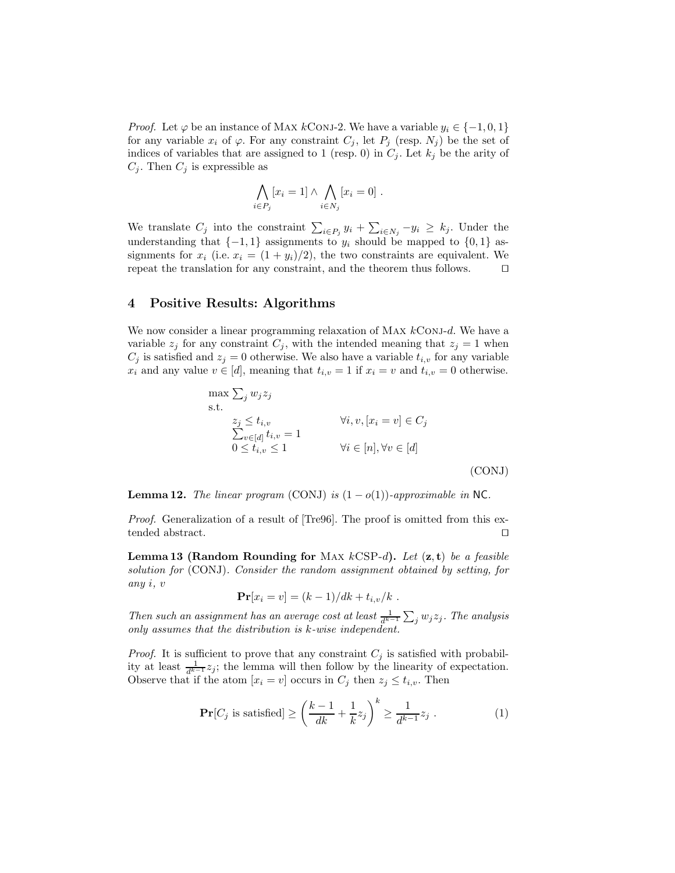*Proof.* Let  $\varphi$  be an instance of MAX kConj-2. We have a variable  $y_i \in \{-1, 0, 1\}$ for any variable  $x_i$  of  $\varphi$ . For any constraint  $C_j$ , let  $P_j$  (resp.  $N_j$ ) be the set of indices of variables that are assigned to 1 (resp. 0) in  $C_j$ . Let  $k_j$  be the arity of  $C_j$ . Then  $C_j$  is expressible as

$$
\bigwedge_{i \in P_j} [x_i = 1] \wedge \bigwedge_{i \in N_j} [x_i = 0].
$$

We translate  $C_j$  into the constraint  $\sum_{i \in P_j} y_i + \sum_{i \in N_j} -y_i \geq k_j$ . Under the understanding that  $\{-1, 1\}$  assignments to  $y_i$  should be mapped to  $\{0, 1\}$  assignments for  $x_i$  (i.e.  $x_i = (1 + y_i)/2$ ), the two constraints are equivalent. We repeat the translation for any constraint, and the theorem thus follows. ⊓⊔

### 4 Positive Results: Algorithms

We now consider a linear programming relaxation of MAX  $k$ CONJ-d. We have a variable  $z_j$  for any constraint  $C_j$ , with the intended meaning that  $z_j = 1$  when  $C_j$  is satisfied and  $z_j = 0$  otherwise. We also have a variable  $t_{i,v}$  for any variable  $x_i$  and any value  $v \in [d]$ , meaning that  $t_{i,v} = 1$  if  $x_i = v$  and  $t_{i,v} = 0$  otherwise.

$$
\max \sum_{j} w_{j} z_{j}
$$
\n
$$
\sum_{z_{j} \leq t_{i,v}} \forall i, v, [x_{i} = v] \in C_{j}
$$
\n
$$
\sum_{v \in [d]} t_{i,v} = 1 \forall i \in [n], \forall v \in [d]
$$
\n(CONJ)\n
$$
(1)
$$

**Lemma 12.** *The linear program* (CONJ) *is*  $(1 - o(1))$ *-approximable in* NC.

*Proof.* Generalization of a result of [Tre96]. The proof is omitted from this extended abstract. ⊓⊔

Lemma 13 (Random Rounding for Max kCSP-d). *Let* (z, t) *be a feasible solution for* (CONJ)*. Consider the random assignment obtained by setting, for any* i*,* v

$$
\mathbf{Pr}[x_i = v] = (k-1)/dk + t_{i,v}/k.
$$

*Then such an assignment has an average cost at least*  $\frac{1}{d^{k-1}}\sum_j w_j z_j$ *. The analysis only assumes that the distribution is* k*-wise independent.*

*Proof.* It is sufficient to prove that any constraint  $C_j$  is satisfied with probability at least  $\frac{1}{d^{k-1}}z_j$ ; the lemma will then follow by the linearity of expectation. Observe that if the atom  $[x_i = v]$  occurs in  $C_j$  then  $z_j \le t_{i,v}$ . Then

$$
\Pr[C_j \text{ is satisfied}] \ge \left(\frac{k-1}{dk} + \frac{1}{k}z_j\right)^k \ge \frac{1}{d^{k-1}}z_j . \tag{1}
$$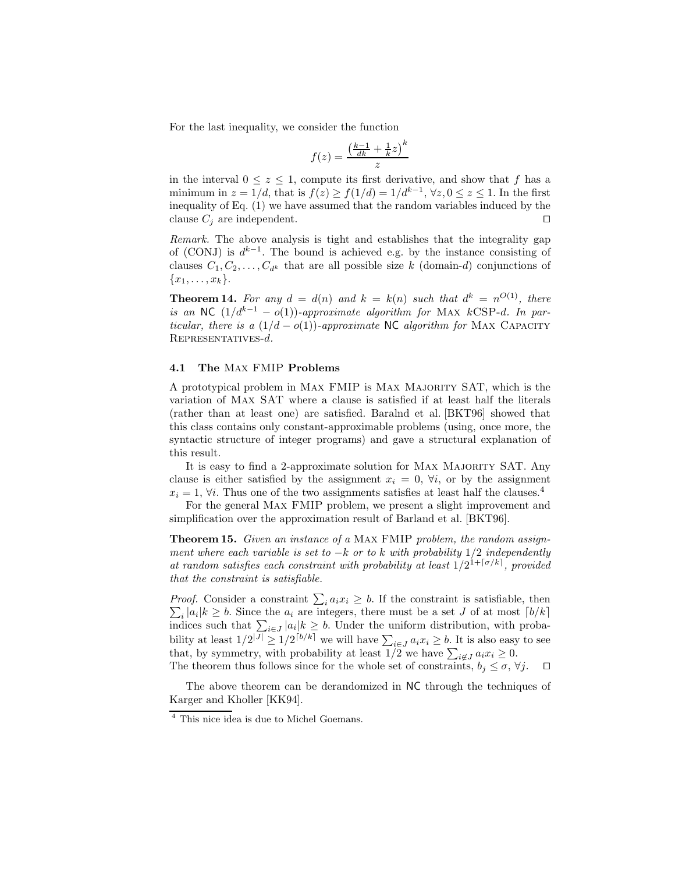For the last inequality, we consider the function

$$
f(z) = \frac{\left(\frac{k-1}{dk} + \frac{1}{k}z\right)^k}{z}
$$

in the interval  $0 \leq z \leq 1$ , compute its first derivative, and show that f has a minimum in  $z = 1/d$ , that is  $f(z) \ge f(1/d) = 1/d^{k-1}$ ,  $\forall z, 0 \le z \le 1$ . In the first inequality of Eq. (1) we have assumed that the random variables induced by the clause  $C_i$  are independent. □

*Remark.* The above analysis is tight and establishes that the integrality gap of (CONJ) is  $d^{k-1}$ . The bound is achieved e.g. by the instance consisting of clauses  $C_1, C_2, \ldots, C_{d^k}$  that are all possible size k (domain-d) conjunctions of  ${x_1, \ldots, x_k}.$ 

**Theorem 14.** For any  $d = d(n)$  and  $k = k(n)$  such that  $d^k = n^{O(1)}$ , there *is an* NC  $(1/d^{k-1} - o(1))$ -approximate algorithm for MAX kCSP-d. In par*ticular, there is a*  $(1/d - o(1))$ *-approximate* NC *algorithm for* MAX CAPACITY Representatives-d*.*

#### 4.1 The Max FMIP Problems

A prototypical problem in Max FMIP is Max Majority SAT, which is the variation of Max SAT where a clause is satisfied if at least half the literals (rather than at least one) are satisfied. Baralnd et al. [BKT96] showed that this class contains only constant-approximable problems (using, once more, the syntactic structure of integer programs) and gave a structural explanation of this result.

It is easy to find a 2-approximate solution for Max Majority SAT. Any clause is either satisfied by the assignment  $x_i = 0$ ,  $\forall i$ , or by the assignment  $x_i = 1$ ,  $\forall i$ . Thus one of the two assignments satisfies at least half the clauses.<sup>4</sup>

For the general Max FMIP problem, we present a slight improvement and simplification over the approximation result of Barland et al. [BKT96].

Theorem 15. *Given an instance of a* Max FMIP *problem, the random assignment where each variable is set to* −k *or to* k *with probability* 1/2 *independently at random satisfies each constraint with probability at least*  $1/2^{1+\lceil \sigma/k \rceil}$ , provided *that the constraint is satisfiable.*

*Proof.* Consider a constraint  $\sum_i a_i x_i \geq b$ . If the constraint is satisfiable, then  $\sum_i |a_i| k \ge b$ . Since the  $a_i$  are integers, there must be a set J of at most  $\lceil b/k \rceil$ indices such that  $\sum_{i \in J} |a_i| k \ge b$ . Under the uniform distribution, with probability at least  $1/2^{|J|} \geq 1/2^{\lceil b/k \rceil}$  we will have  $\sum_{i \in J} a_i x_i \geq b$ . It is also easy to see that, by symmetry, with probability at least  $1/2$  we have  $\sum_{i \notin J} a_i x_i \geq 0$ . The theorem thus follows since for the whole set of constraints,  $b_i \leq \sigma$ ,  $\forall j$ . □

The above theorem can be derandomized in NC through the techniques of Karger and Kholler [KK94].

<sup>4</sup> This nice idea is due to Michel Goemans.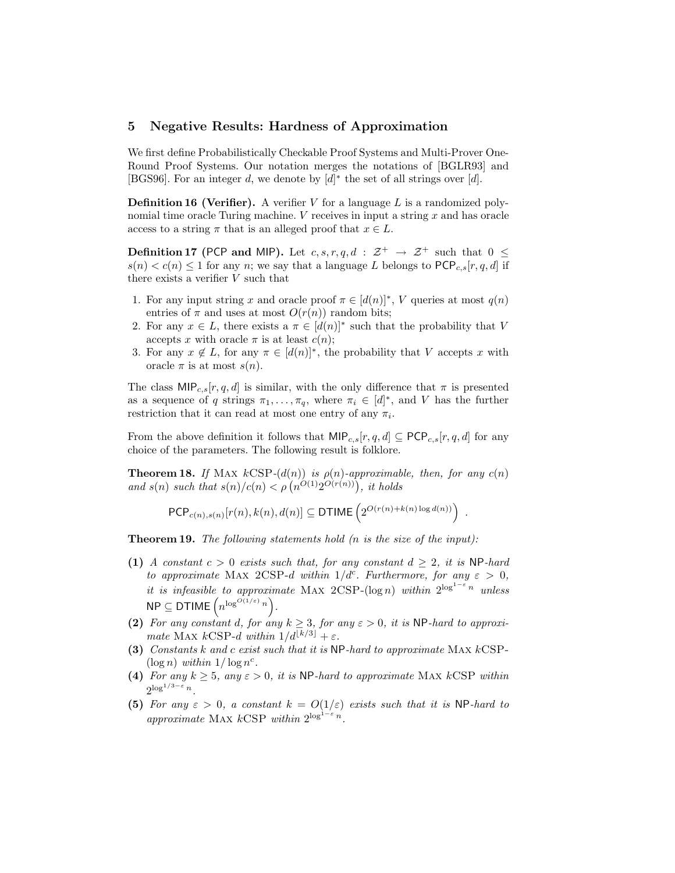#### 5 Negative Results: Hardness of Approximation

We first define Probabilistically Checkable Proof Systems and Multi-Prover One-Round Proof Systems. Our notation merges the notations of [BGLR93] and [BGS96]. For an integer d, we denote by  $[d]^*$  the set of all strings over [d].

**Definition 16 (Verifier).** A verifier V for a language L is a randomized polynomial time oracle Turing machine.  $V$  receives in input a string  $x$  and has oracle access to a string  $\pi$  that is an alleged proof that  $x \in L$ .

**Definition 17 (PCP and MIP).** Let c, s, r, q, d :  $\mathcal{Z}^+ \rightarrow \mathcal{Z}^+$  such that  $0 \leq$  $s(n) < c(n) \leq 1$  for any n; we say that a language L belongs to  $PCP_{c,s}[r, q, d]$  if there exists a verifier  $V$  such that

- 1. For any input string x and oracle proof  $\pi \in [d(n)]^*$ , V queries at most  $q(n)$ entries of  $\pi$  and uses at most  $O(r(n))$  random bits;
- 2. For any  $x \in L$ , there exists a  $\pi \in [d(n)]^*$  such that the probability that V accepts x with oracle  $\pi$  is at least  $c(n)$ ;
- 3. For any  $x \notin L$ , for any  $\pi \in [d(n)]^*$ , the probability that V accepts x with oracle  $\pi$  is at most  $s(n)$ .

The class  $\text{MIP}_{c,s}[r, q, d]$  is similar, with the only difference that  $\pi$  is presented as a sequence of q strings  $\pi_1, \ldots, \pi_q$ , where  $\pi_i \in [d]^*$ , and V has the further restriction that it can read at most one entry of any  $\pi_i$ .

From the above definition it follows that  $\text{MIP}_{c,s}[r,q,d] \subseteq \text{PCP}_{c,s}[r,q,d]$  for any choice of the parameters. The following result is folklore.

**Theorem 18.** *If* MAX  $kCSP-(d(n))$  *is*  $\rho(n)$ *-approximable, then, for any*  $c(n)$ and  $s(n)$  such that  $s(n)/c(n) < \rho(n^{O(1)}2^{O(r(n))})$ , it holds

$$
\mathsf{PCP}_{c(n),s(n)}[r(n),k(n),d(n)] \subseteq \mathsf{DTIME}\left(2^{O(r(n)+k(n)\log d(n))}\right)
$$

.

Theorem 19. *The following statements hold (*n *is the size of the input):*

- (1) *A* constant  $c > 0$  exists such that, for any constant  $d \geq 2$ , it is NP-hard *to approximate* MAX 2CSP-d *within*  $1/d^c$ . Furthermore, for any  $\varepsilon > 0$ , *it is infeasible to approximate* MAX  $2CSP-(\log n)$  *within*  $2^{\log^{1-\epsilon}n}$  *unless*  $\mathsf{NP} \subseteq \mathsf{DTIME}\left(n^{\log^{O(1/\varepsilon)} n}\right)$ *.*
- (2) For any constant d, for any  $k \geq 3$ , for any  $\varepsilon > 0$ , it is NP-hard to approxi*mate* MAX  $kCSP-d$  *within*  $1/d^{\lfloor k/3 \rfloor} + \varepsilon$ *.*
- (3) *Constants* k *and* c *exist such that it is* NP*-hard to approximate* Max kCSP-  $(\log n)$  *within*  $1/\log n^c$ .
- (4) *For any*  $k \geq 5$ *, any*  $\varepsilon > 0$ *, it is* NP-hard to approximate MAX kCSP within  $2^{\log^{1/3-\varepsilon} n}$ .
- (5) *For any*  $\varepsilon > 0$ , a constant  $k = O(1/\varepsilon)$  *exists such that it is* NP-hard to *approximate* MAX  $k$ CSP *within*  $2^{\log^{1-\varepsilon} n}$ .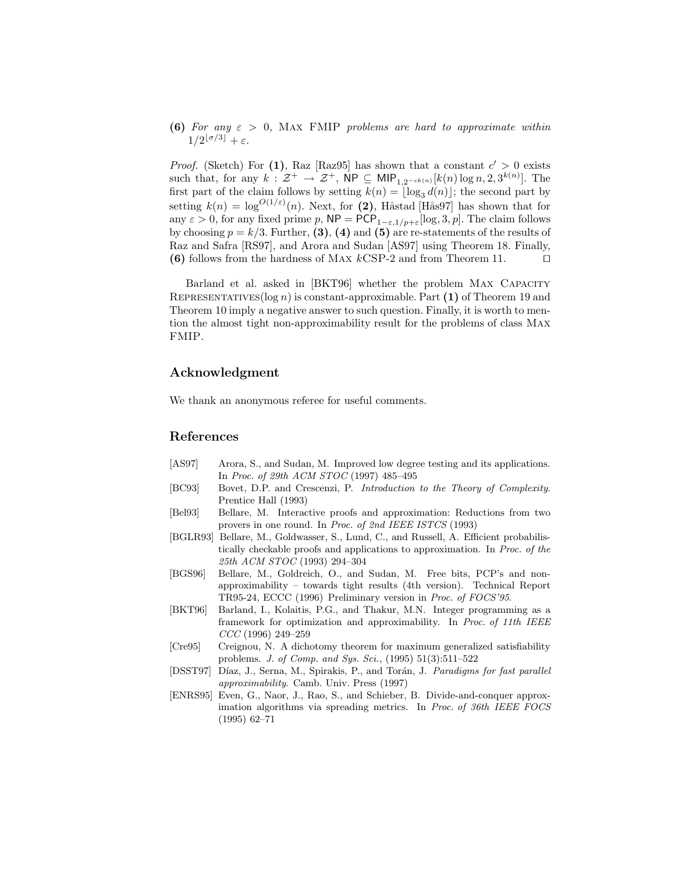(6) For any  $\varepsilon > 0$ , MAX FMIP problems are hard to approximate within  $1/2^{\lfloor \sigma/3 \rfloor} + \varepsilon$ .

*Proof.* (Sketch) For  $(1)$ , Raz [Raz95] has shown that a constant  $c' > 0$  exists such that, for any  $k : \mathcal{Z}^+ \to \mathcal{Z}^+$ ,  $\mathsf{NP} \subseteq \mathsf{MIP}_{1,2^{-ck(n)}}[k(n)\log n, 2, 3^{k(n)}]$ . The first part of the claim follows by setting  $k(n) = \lfloor \log_3 d(n) \rfloor$ ; the second part by setting  $k(n) = \log^{O(1/\varepsilon)}(n)$ . Next, for (2), Håstad [Hås97] has shown that for any  $\varepsilon > 0$ , for any fixed prime p,  $\mathsf{NP} = \mathsf{PCP}_{1-\varepsilon,1/p+\varepsilon}[\log,3,p]$ . The claim follows by choosing  $p = k/3$ . Further, (3), (4) and (5) are re-statements of the results of Raz and Safra [RS97], and Arora and Sudan [AS97] using Theorem 18. Finally, (6) follows from the hardness of Max kCSP-2 and from Theorem 11. □

Barland et al. asked in [BKT96] whether the problem MAX CAPACITY REPRESENTATIVES( $log n$ ) is constant-approximable. Part (1) of Theorem 19 and Theorem 10 imply a negative answer to such question. Finally, it is worth to mention the almost tight non-approximability result for the problems of class Max FMIP.

### Acknowledgment

We thank an anonymous referee for useful comments.

#### References

- [AS97] Arora, S., and Sudan, M. Improved low degree testing and its applications. In Proc. of 29th ACM STOC (1997) 485–495
- [BC93] Bovet, D.P. and Crescenzi, P. Introduction to the Theory of Complexity. Prentice Hall (1993)
- [Bel93] Bellare, M. Interactive proofs and approximation: Reductions from two provers in one round. In Proc. of 2nd IEEE ISTCS (1993)
- [BGLR93] Bellare, M., Goldwasser, S., Lund, C., and Russell, A. Efficient probabilistically checkable proofs and applications to approximation. In Proc. of the 25th ACM STOC (1993) 294–304
- [BGS96] Bellare, M., Goldreich, O., and Sudan, M. Free bits, PCP's and nonapproximability – towards tight results (4th version). Technical Report TR95-24, ECCC (1996) Preliminary version in Proc. of FOCS'95.
- [BKT96] Barland, I., Kolaitis, P.G., and Thakur, M.N. Integer programming as a framework for optimization and approximability. In Proc. of 11th IEEE CCC (1996) 249–259
- [Cre95] Creignou, N. A dichotomy theorem for maximum generalized satisfiability problems. J. of Comp. and Sys. Sci., (1995) 51(3):511–522
- [DSST97] Díaz, J., Serna, M., Spirakis, P., and Torán, J. Paradigms for fast parallel approximability. Camb. Univ. Press (1997)
- [ENRS95] Even, G., Naor, J., Rao, S., and Schieber, B. Divide-and-conquer approximation algorithms via spreading metrics. In Proc. of 36th IEEE FOCS (1995) 62–71